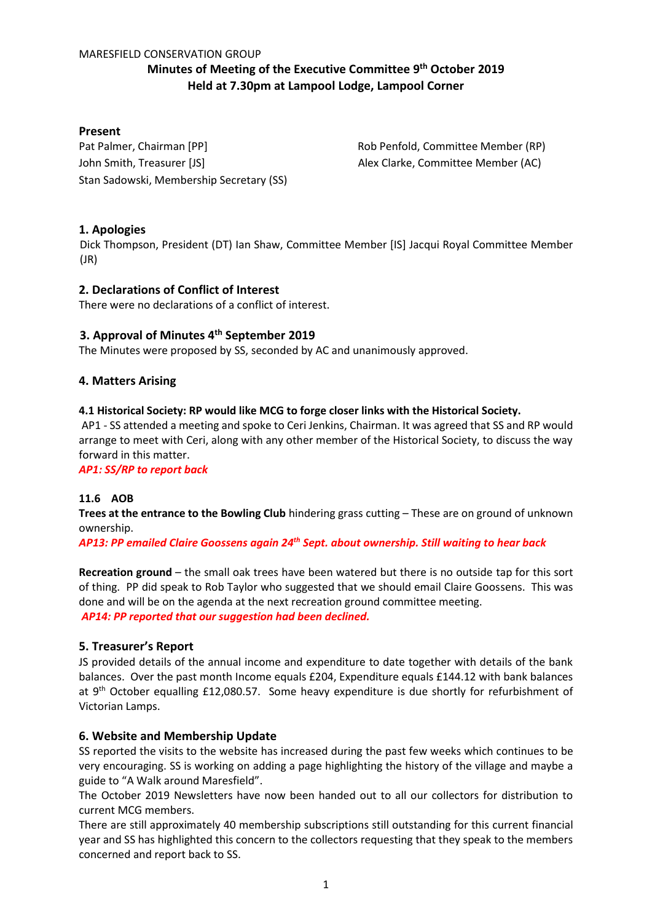#### MARESFIELD CONSERVATION GROUP

# **Minutes of Meeting of the Executive Committee 9 th October 2019 Held at 7.30pm at Lampool Lodge, Lampool Corner**

# **Present**

Pat Palmer, Chairman [PP] Rob Penfold, Committee Member (RP) John Smith, Treasurer [JS] Alex Clarke, Committee Member (AC) Stan Sadowski, Membership Secretary (SS)

# **1. Apologies**

Dick Thompson, President (DT) Ian Shaw, Committee Member [IS] Jacqui Royal Committee Member (JR)

# **2. Declarations of Conflict of Interest**

There were no declarations of a conflict of interest.

# **3. Approval of Minutes 4th September 2019**

The Minutes were proposed by SS, seconded by AC and unanimously approved.

#### **4. Matters Arising**

#### **4.1 Historical Society: RP would like MCG to forge closer links with the Historical Society.**

AP1 - SS attended a meeting and spoke to Ceri Jenkins, Chairman. It was agreed that SS and RP would arrange to meet with Ceri, along with any other member of the Historical Society, to discuss the way forward in this matter.

*AP1: SS/RP to report back*

#### **11.6 AOB**

**Trees at the entrance to the Bowling Club** hindering grass cutting – These are on ground of unknown ownership.

*AP13: PP emailed Claire Goossens again 24th Sept. about ownership. Still waiting to hear back*

**Recreation ground** – the small oak trees have been watered but there is no outside tap for this sort of thing. PP did speak to Rob Taylor who suggested that we should email Claire Goossens. This was done and will be on the agenda at the next recreation ground committee meeting. *AP14: PP reported that our suggestion had been declined.*

#### **5. Treasurer's Report**

JS provided details of the annual income and expenditure to date together with details of the bank balances. Over the past month Income equals £204, Expenditure equals £144.12 with bank balances at 9<sup>th</sup> October equalling £12,080.57. Some heavy expenditure is due shortly for refurbishment of Victorian Lamps.

#### **6. Website and Membership Update**

SS reported the visits to the website has increased during the past few weeks which continues to be very encouraging. SS is working on adding a page highlighting the history of the village and maybe a guide to "A Walk around Maresfield".

The October 2019 Newsletters have now been handed out to all our collectors for distribution to current MCG members.

There are still approximately 40 membership subscriptions still outstanding for this current financial year and SS has highlighted this concern to the collectors requesting that they speak to the members concerned and report back to SS.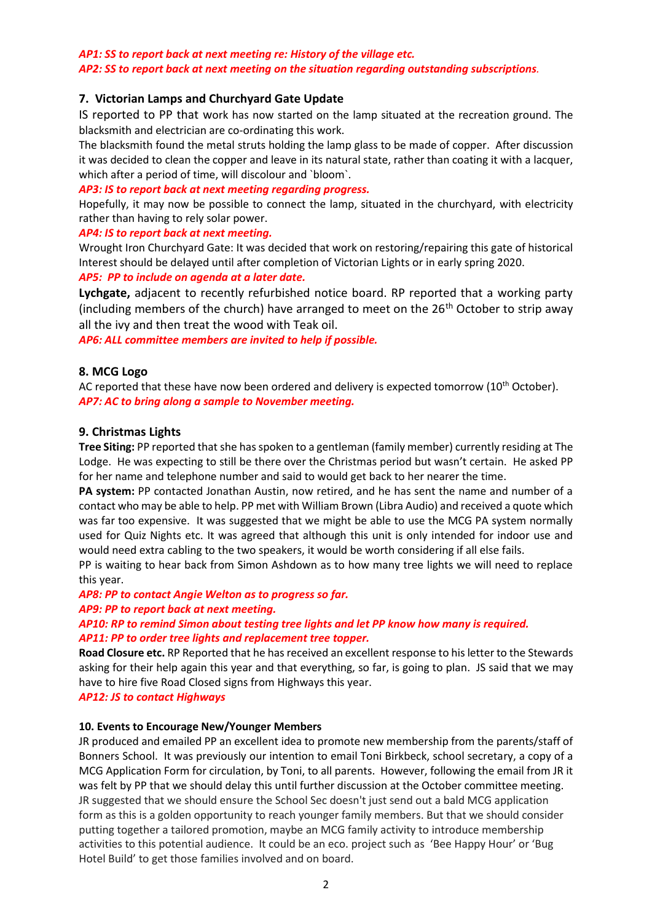## *AP1: SS to report back at next meeting re: History of the village etc. AP2: SS to report back at next meeting on the situation regarding outstanding subscriptions.*

# **7. Victorian Lamps and Churchyard Gate Update**

IS reported to PP that work has now started on the lamp situated at the recreation ground. The blacksmith and electrician are co-ordinating this work.

The blacksmith found the metal struts holding the lamp glass to be made of copper. After discussion it was decided to clean the copper and leave in its natural state, rather than coating it with a lacquer, which after a period of time, will discolour and `bloom`.

#### *AP3: IS to report back at next meeting regarding progress.*

Hopefully, it may now be possible to connect the lamp, situated in the churchyard, with electricity rather than having to rely solar power.

#### *AP4: IS to report back at next meeting.*

Wrought Iron Churchyard Gate: It was decided that work on restoring/repairing this gate of historical Interest should be delayed until after completion of Victorian Lights or in early spring 2020.

#### *AP5: PP to include on agenda at a later date.*

**Lychgate,** adjacent to recently refurbished notice board. RP reported that a working party (including members of the church) have arranged to meet on the  $26<sup>th</sup>$  October to strip away all the ivy and then treat the wood with Teak oil.

*AP6: ALL committee members are invited to help if possible.* 

# **8. MCG Logo**

AC reported that these have now been ordered and delivery is expected tomorrow ( $10^{th}$  October). *AP7: AC to bring along a sample to November meeting.*

#### **9. Christmas Lights**

**Tree Siting:** PP reported that she has spoken to a gentleman (family member) currently residing at The Lodge. He was expecting to still be there over the Christmas period but wasn't certain. He asked PP for her name and telephone number and said to would get back to her nearer the time.

**PA system:** PP contacted Jonathan Austin, now retired, and he has sent the name and number of a contact who may be able to help. PP met with William Brown (Libra Audio) and received a quote which was far too expensive. It was suggested that we might be able to use the MCG PA system normally used for Quiz Nights etc. It was agreed that although this unit is only intended for indoor use and would need extra cabling to the two speakers, it would be worth considering if all else fails.

PP is waiting to hear back from Simon Ashdown as to how many tree lights we will need to replace this year.

# *AP8: PP to contact Angie Welton as to progress so far.*

*AP9: PP to report back at next meeting.*

# *AP10: RP to remind Simon about testing tree lights and let PP know how many is required. AP11: PP to order tree lights and replacement tree topper.*

**Road Closure etc.** RP Reported that he has received an excellent response to his letter to the Stewards asking for their help again this year and that everything, so far, is going to plan. JS said that we may have to hire five Road Closed signs from Highways this year.

#### *AP12: JS to contact Highways*

#### **10. Events to Encourage New/Younger Members**

JR produced and emailed PP an excellent idea to promote new membership from the parents/staff of Bonners School. It was previously our intention to email Toni Birkbeck, school secretary, a copy of a MCG Application Form for circulation, by Toni, to all parents. However, following the email from JR it was felt by PP that we should delay this until further discussion at the October committee meeting. JR suggested that we should ensure the School Sec doesn't just send out a bald MCG application form as this is a golden opportunity to reach younger family members. But that we should consider putting together a tailored promotion, maybe an MCG family activity to introduce membership activities to this potential audience. It could be an eco. project such as 'Bee Happy Hour' or 'Bug Hotel Build' to get those families involved and on board.